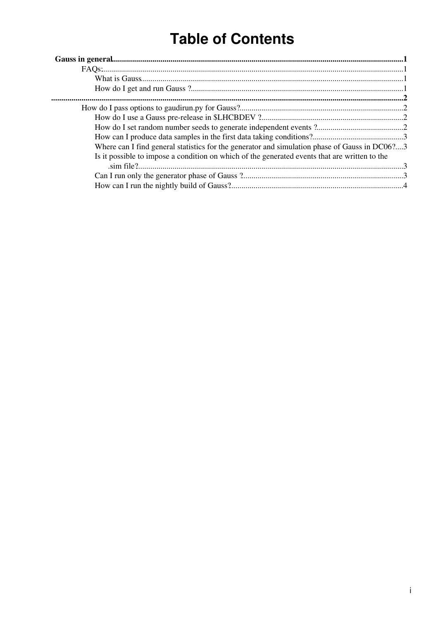# **Table of Contents**

| Where can I find general statistics for the generator and simulation phase of Gauss in DC06?3 |  |
|-----------------------------------------------------------------------------------------------|--|
| Is it possible to impose a condition on which of the generated events that are written to the |  |
|                                                                                               |  |
|                                                                                               |  |
|                                                                                               |  |
|                                                                                               |  |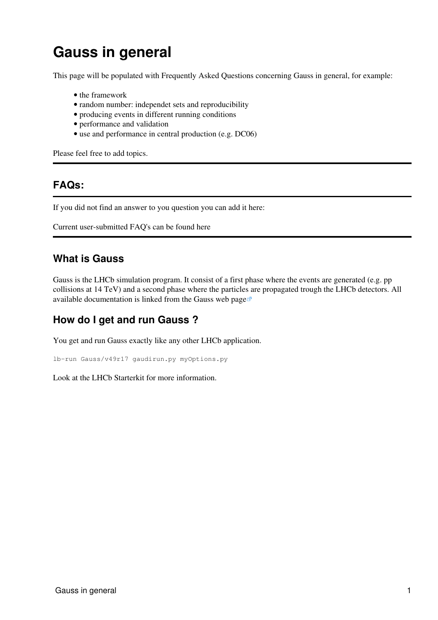# <span id="page-1-0"></span>**Gauss in general**

This page will be populated with Frequently Asked Questions concerning Gauss in general, for example:

- the framework
- random number: independet sets and reproducibility
- producing events in different running conditions
- performance and validation
- use and performance in central production (e.g. DC06)

Please feel free to add topics.

## <span id="page-1-1"></span>**FAQs:**

If you did not find an answer to you question you can add it here:

Current user-submitted FAQ's can be found [here](https://twiki.cern.ch/twiki/bin/view/LHCb/FAQ/UserFAQ)

# <span id="page-1-2"></span>**What is Gauss**

Gauss is the LHCb simulation program. It consist of a first phase where the events are generated (e.g. pp collisions at 14 TeV) and a second phase where the particles are propagated trough the LHCb detectors. All available documentation is linked from the [Gauss web page](http://cern.ch/LHCb-release-area/DOC/gauss)

# <span id="page-1-3"></span>**How do I get and run Gauss ?**

You get and run Gauss exactly like any other LHCb application.

```
lb-run Gauss/v49r17 gaudirun.py myOptions.py
```
Look at the [LHCb Starterkit](https://lhcb.github.io/starterkit-lessons/second-analysis-steps/simulation.html) for more information.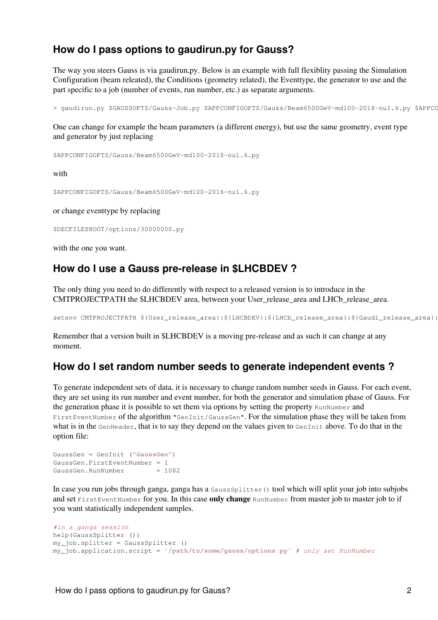## <span id="page-2-0"></span>**How do I pass options to gaudirun.py for Gauss?**

The way you steers Gauss is via gaudirun,py. Below is an example with full flexiblity passing the Simulation Configuration (beam releated), the Conditions (geometry related), the Eventtype, the generator to use and the part specific to a job (number of events, run number, etc.) as separate arguments.

> gaudirun.py \$GAUSSOPTS/Gauss-Job.py \$APPCONFIGOPTS/Gauss/Beam6500GeV-md100-2018-nu1.6.py \$APPCC

One can change for example the beam parameters (a different energy), but use the same geometry, event type and generator by just replacing

\$APPCONFIGOPTS/Gauss/Beam6500GeV-md100-2018-nu1.6.py

with

\$APPCONFIGOPTS/Gauss/Beam6500GeV-md100-2016-nu1.6.py

or change eventtype by replacing

\$DECFILESROOT/options/30000000.py

with the one you want.

### <span id="page-2-1"></span>**How do I use a Gauss pre-release in \$LHCBDEV ?**

The only thing you need to do differently with respect to a released version is to introduce in the CMTPROJECTPATH the \$LHCBDEV area, between your User\_release\_area and LHCb\_release\_area.

setenv CMTPROJECTPATH \${User\_release\_area}:\${LHCBDEV}:\${LHCb\_release\_area}:\${Gaudi\_release\_area}:

Remember that a version built in \$LHCBDEV is a moving pre-release and as such it can change at any moment.

### <span id="page-2-2"></span>**How do I set random number seeds to generate independent events ?**

To generate independent sets of data, it is necessary to change random number seeds in Gauss. For each event, they are set using its run number and event number, for both the generator and simulation phase of Gauss. For the generation phase it is possible to set them via options by setting the property RunNumber and FirstEventNumber of the algorithm "GenInit/GaussGen". For the simulation phase they will be taken from what is in the GenHeader, that is to say they depend on the values given to GenInit above. To do that in the option file:

```
GaussGen = GenInit ("GaussGen")
GaussGen.FirstEventNumber = 1
GaussGen.RunNumber = 1082
```
In case you run jobs through ganga, ganga has a GaussSplitter() tool which will split your job into subjobs and set FirstEventNumber for you. In this case **only change** RunNumber from master job to master job to if you want statistically independent samples.

```
#in a ganga session
help(GaussSplitter ())
my_job.splitter = GaussSplitter ()
my_job.application.script = '/path/to/some/gauss/options.py' # only set RunNumber
```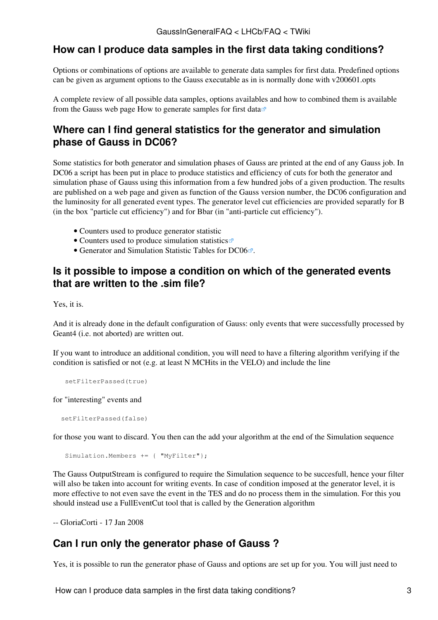# <span id="page-3-0"></span>**How can I produce data samples in the first data taking conditions?**

Options or combinations of options are available to generate data samples for first data. Predefined options can be given as argument options to the Gauss executable as in is normally done with v200601.opts

A complete review of all possible data samples, options availables and how to combined them is available from the Gauss web page [How to generate samples for first data](http://lhcb-release-area.web.cern.ch/LHCb-release-area/DOC/gauss/doc/FirstEventOptions.php)  $\mathbb{Z}$ 

# <span id="page-3-1"></span>**Where can I find general statistics for the generator and simulation phase of Gauss in DC06?**

Some statistics for both generator and simulation phases of Gauss are printed at the end of any Gauss job. In DC06 a script has been put in place to produce statistics and efficiency of cuts for both the generator and simulation phase of Gauss using this information from a few hundred jobs of a given production. The results are published on a web page and given as function of the Gauss version number, the DC06 configuration and the luminosity for all generated event types. The generator level cut efficiencies are provided separatly for B (in the box "particle cut efficiency") and for Bbar (in "anti-particle cut efficiency").

- [Counters used to produce generator statistic](https://twiki.cern.ch/twiki/bin/view/LHCb/GengaussCounters)
- [Counters used to produce simulation statistics](http://lhcb-release-area.web.cern.ch/LHCb-release-area/DOC/STATISTICS/SimulationTables.pdf)
- Generator and Simulation Statistic Tables for  $DC06\mathbb{Z}$ .

# <span id="page-3-2"></span>**Is it possible to impose a condition on which of the generated events that are written to the .sim file?**

Yes, it is.

And it is already done in the default configuration of Gauss: only events that were successfully processed by Geant4 (i.e. not aborted) are written out.

If you want to introduce an additional condition, you will need to have a filtering algorithm verifying if the condition is satisfied or not (e.g. at least N MCHits in the VELO) and include the line

```
 setFilterPassed(true)
```
for "interesting" events and

```
 setFilterPassed(false)
```
for those you want to discard. You then can the add your algorithm at the end of the Simulation sequence

```
Simulation.Members += { "MyFilter"};
```
The Gauss OutputStream is configured to require the Simulation sequence to be succesfull, hence your filter will also be taken into account for writing events. In case of condition imposed at the generator level, it is more effective to not even save the event in the TES and do no process them in the simulation. For this you should instead use a FullEventCut tool that is called by the Generation algorithm

-- [GloriaCorti](https://twiki.cern.ch/twiki/bin/view/Main/GloriaCorti) - 17 Jan 2008

# <span id="page-3-3"></span>**Can I run only the generator phase of Gauss ?**

Yes, it is possible to run the generator phase of Gauss and options are set up for you. You will just need to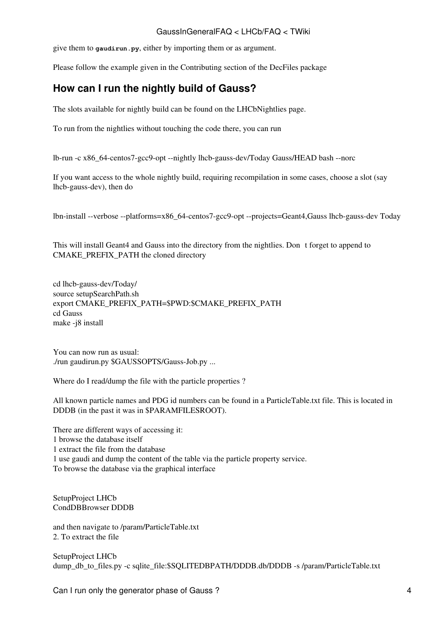#### GaussInGeneralFAQ < LHCb/FAQ < TWiki

give them to **gaudirun.py**, either by importing them or as argument.

Please follow the example given in the Contributing section of the [DecFiles](https://twiki.cern.ch/twiki/bin/edit/LHCb/FAQ/DecFiles?topicparent=LHCb/FAQ.GaussInGeneralFAQ;nowysiwyg=1) package

# <span id="page-4-0"></span>**How can I run the nightly build of Gauss?**

The slots available for nightly build [can be found on the](https://lhcb-nightlies.web.cern.ch/nightly/summary/) [LHCbNightlies](https://twiki.cern.ch/twiki/bin/edit/LHCb/FAQ/LHCbNightlies?topicparent=LHCb/FAQ.GaussInGeneralFAQ;nowysiwyg=1) [page.](https://lhcb-nightlies.web.cern.ch/nightly/summary/)

To run from the nightlies without touching the code there, you can run

lb-run -c x86\_64-centos7-gcc9-opt --nightly lhcb-gauss-dev/Today Gauss/HEAD bash --norc

If you want access to the whole nightly build, requiring recompilation in some cases, choose a slot (say lhcb-gauss-dev), then do

lbn-install --verbose --platforms=x86\_64-centos7-gcc9-opt --projects=Geant4,Gauss lhcb-gauss-dev Today

This will install Geant4 and Gauss into the directory from the nightlies. Dont forget to append to CMAKE\_PREFIX\_PATH the cloned directory

cd lhcb-gauss-dev/Today/ source setupSearchPath.sh export CMAKE\_PREFIX\_PATH=\$PWD:\$CMAKE\_PREFIX\_PATH cd Gauss make -j8 install

You can now run as usual: ./run gaudirun.py \$GAUSSOPTS/Gauss-Job.py ...

Where do I read/dump the file with the particle properties ?

All known particle names and PDG id numbers can be found in a [ParticleTable.](https://twiki.cern.ch/twiki/bin/edit/LHCb/FAQ/ParticleTable?topicparent=LHCb/FAQ.GaussInGeneralFAQ;nowysiwyg=1)txt file. This is located in DDDB (in the past it was in \$PARAMFILESROOT).

There are different ways of accessing it: 1 browse the database itself 1 extract the file from the database 1 use gaudi and dump the content of the table via the particle property service. To browse the database via the graphical interface

SetupProject LHCb CondDBBrowser DDDB

and then navigate to /param/ParticleTable.txt 2. To extract the file

SetupProject LHCb dump\_db\_to\_files.py -c sqlite\_file:\$SQLITEDBPATH/DDDB.db/DDDB -s /param/ParticleTable.txt

Can I run only the generator phase of Gauss ? 4